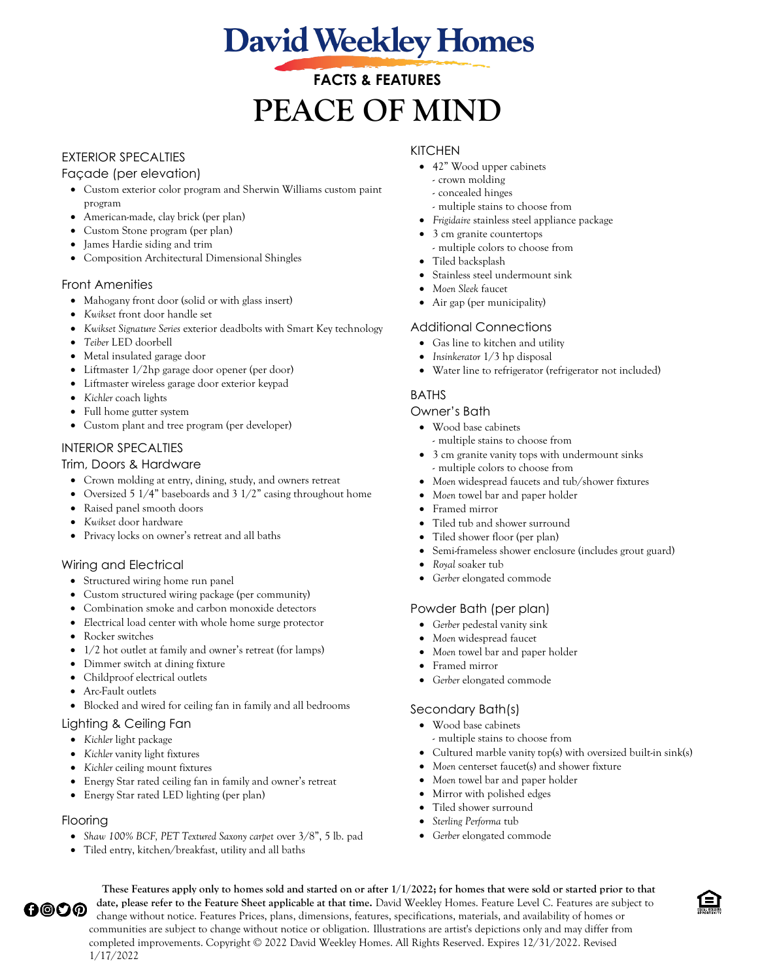# **David Weekley Homes**

# **FACTS & FEATURES PEACE OF MIND**

# EXTERIOR SPECALTIES

# Façade (per elevation)

- Custom exterior color program and Sherwin Williams custom paint program
- American-made, clay brick (per plan)
- Custom Stone program (per plan)
- James Hardie siding and trim
- Composition Architectural Dimensional Shingles

# Front Amenities

- Mahogany front door (solid or with glass insert)
- *Kwikset* front door handle set
- *Kwikset Signature Series* exterior deadbolts with Smart Key technology
- *Teiber* LED doorbell
- Metal insulated garage door
- Liftmaster 1/2hp garage door opener (per door)
- Liftmaster wireless garage door exterior keypad
- *Kichler* coach lights
- Full home gutter system
- Custom plant and tree program (per developer)

# INTERIOR SPECALTIES

#### Trim, Doors & Hardware

- Crown molding at entry, dining, study, and owners retreat
- Oversized 5 1/4" baseboards and 3 1/2" casing throughout home
- Raised panel smooth doors
- *Kwikset* door hardware
- Privacy locks on owner's retreat and all baths

# Wiring and Electrical

- Structured wiring home run panel
- Custom structured wiring package (per community)
- Combination smoke and carbon monoxide detectors
- *E*lectrical load center with whole home surge protector
- Rocker switches
- 1/2 hot outlet at family and owner's retreat (for lamps)
- Dimmer switch at dining fixture
- Childproof electrical outlets
- Arc-Fault outlets
- Blocked and wired for ceiling fan in family and all bedrooms

#### Lighting & Ceiling Fan

- *Kichler* light package
- *Kichler* vanity light fixtures
- *Kichler* ceiling mount fixtures
- Energy Star rated ceiling fan in family and owner's retreat
- Energy Star rated LED lighting (per plan)

#### Flooring

- *Shaw 100% BCF, PET Textured Saxony carpet* over 3/8", 5 lb. pad
- Tiled entry, kitchen/breakfast, utility and all baths

# KITCHEN

- 42" Wood upper cabinets
	- crown molding
	- concealed hinges
	- multiple stains to choose from
- *Frigidaire* stainless steel appliance package
- 3 cm granite countertops
	- multiple colors to choose from
- Tiled backsplash
- Stainless steel undermount sink
- *Moen Sleek* faucet
- Air gap (per municipality)

#### Additional Connections

- Gas line to kitchen and utility
- *Insinkerator* 1/3 hp disposal
- Water line to refrigerator (refrigerator not included)

# BATHS

#### Owner's Bath

- Wood base cabinets
	- multiple stains to choose from
- 3 cm granite vanity tops with undermount sinks - multiple colors to choose from
- *Moen* widespread faucets and tub/shower fixtures
- *Moen* towel bar and paper holder
- Framed mirror
- Tiled tub and shower surround
- Tiled shower floor (per plan)
- Semi-frameless shower enclosure (includes grout guard)
- *Royal* soaker tub
- *Gerber* elongated commode

#### Powder Bath (per plan)

- *Gerber* pedestal vanity sink
- *Moen* widespread faucet
- *Moen* towel bar and paper holder
- Framed mirror
- *Gerber* elongated commode

# Secondary Bath(s)

- Wood base cabinets
	- multiple stains to choose from
- Cultured marble vanity top(s) with oversized built-in sink(s)
- *Moen* centerset faucet(s) and shower fixture
- *Moen* towel bar and paper holder
- Mirror with polished edges
- Tiled shower surround
- *Sterling Performa* tub
- *Gerber* elongated commode

**These Features apply only to homes sold and started on or after 1/1/2022; for homes that were sold or started prior to that date, please refer to the Feature Sheet applicable at that time.** David Weekley Homes. Feature Level C. Features are subject to ℎ℗⅁℗ change without notice. Features Prices, plans, dimensions, features, specifications, materials, and availability of homes or communities are subject to change without notice or obligation. Illustrations are artist's depictions only and may differ from completed improvements. Copyright © 2022 David Weekley Homes. All Rights Reserved. Expires 12/31/2022. Revised 1/17/2022